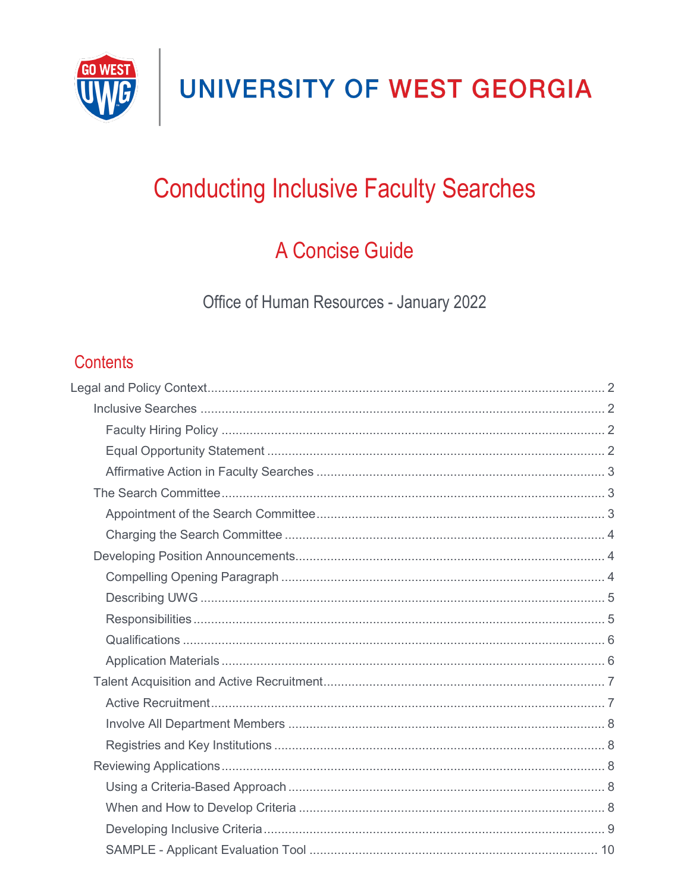

## **Conducting Inclusive Faculty Searches**

### A Concise Guide

Office of Human Resources - January 2022

### **Contents**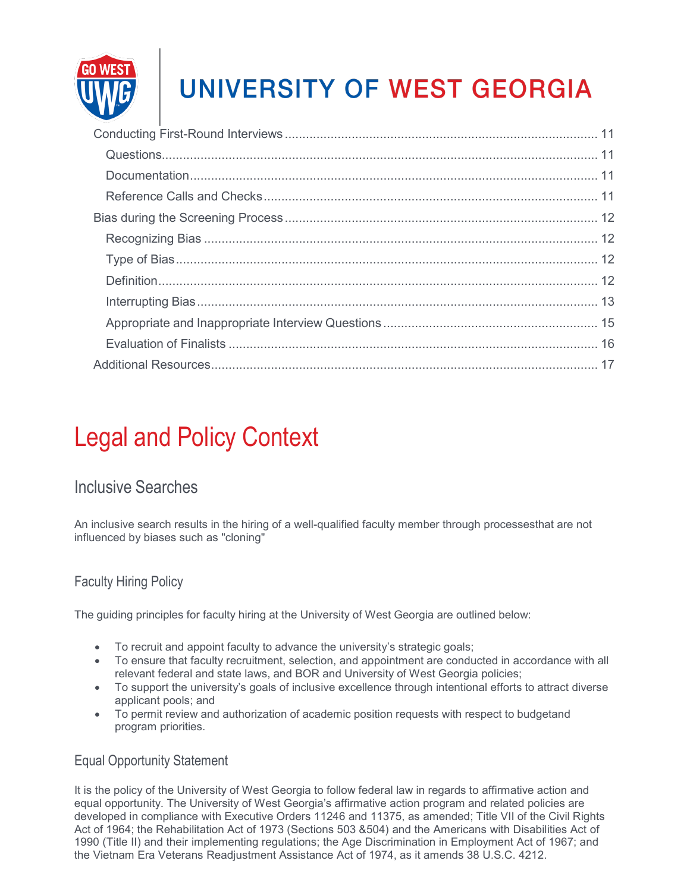

## <span id="page-1-0"></span>Legal and Policy Context

### <span id="page-1-1"></span>Inclusive Searches

An inclusive search results in the hiring of a well-qualified faculty member through processesthat are not influenced by biases such as "cloning"

### <span id="page-1-2"></span>Faculty Hiring Policy

The guiding principles for faculty hiring at the University of West Georgia are outlined below:

- To recruit and appoint faculty to advance the university's strategic goals;
- To ensure that faculty recruitment, selection, and appointment are conducted in accordance with all relevant federal and state laws, and BOR and University of West Georgia policies;
- To support the university's goals of inclusive excellence through intentional efforts to attract diverse applicant pools; and
- To permit review and authorization of academic position requests with respect to budgetand program priorities.

### <span id="page-1-3"></span>Equal Opportunity Statement

It is the policy of the University of West Georgia to follow federal law in regards to affirmative action and equal opportunity. The University of West Georgia's affirmative action program and related policies are developed in compliance with Executive Orders 11246 and 11375, as amended; Title VII of the Civil Rights Act of 1964; the Rehabilitation Act of 1973 (Sections 503 &504) and the Americans with Disabilities Act of 1990 (Title II) and their implementing regulations; the Age Discrimination in Employment Act of 1967; and the Vietnam Era Veterans Readjustment Assistance Act of 1974, as it amends 38 U.S.C. 4212.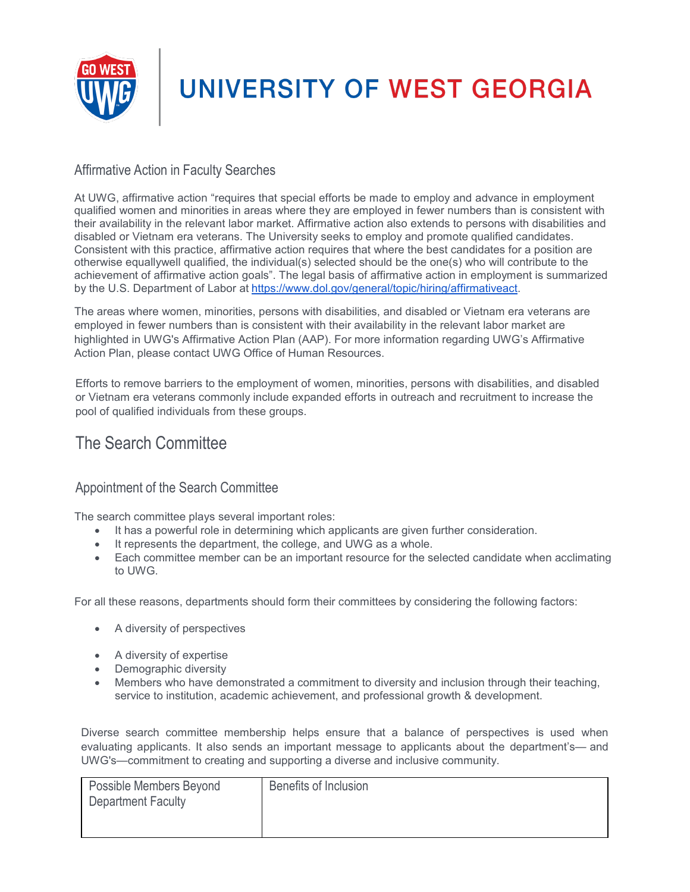

### <span id="page-2-0"></span>Affirmative Action in Faculty Searches

At UWG, affirmative action "requires that special efforts be made to employ and advance in employment qualified women and minorities in areas where they are employed in fewer numbers than is consistent with their availability in the relevant labor market. Affirmative action also extends to persons with disabilities and disabled or Vietnam era veterans. The University seeks to employ and promote qualified candidates. Consistent with this practice, affirmative action requires that where the best candidates for a position are otherwise equallywell qualified, the individual(s) selected should be the one(s) who will contribute to the achievement of affirmative action goals". The legal basis of affirmative action in employment is summarized by the U.S. Department of Labor at http[s://www.dol.gov/general/topic/hiring/affirmativeact.](http://www.dol.gov/general/topic/hiring/affirmativeact)

The areas where women, minorities, persons with disabilities, and disabled or Vietnam era veterans are employed in fewer numbers than is consistent with their availability in the relevant labor market are highlighted in UWG's Affirmative Action Plan (AAP). For more information regarding UWG's Affirmative Action Plan, please contact UWG Office of Human Resources.

Efforts to remove barriers to the employment of women, minorities, persons with disabilities, and disabled or Vietnam era veterans commonly include expanded efforts in outreach and recruitment to increase the pool of qualified individuals from these groups.

### <span id="page-2-1"></span>The Search Committee

### <span id="page-2-2"></span>Appointment of the Search Committee

The search committee plays several important roles:

- It has a powerful role in determining which applicants are given further consideration.
- It represents the department, the college, and UWG as a whole.
- Each committee member can be an important resource for the selected candidate when acclimating to UWG.

For all these reasons, departments should form their committees by considering the following factors:

- A diversity of perspectives
- A diversity of expertise
- Demographic diversity
- Members who have demonstrated a commitment to diversity and inclusion through their teaching, service to institution, academic achievement, and professional growth & development.

Diverse search committee membership helps ensure that a balance of perspectives is used when evaluating applicants. It also sends an important message to applicants about the department's— and UWG's—commitment to creating and supporting a diverse and inclusive community.

| <b>Possible Members Beyond</b><br>Department Faculty | Benefits of Inclusion |
|------------------------------------------------------|-----------------------|
|                                                      |                       |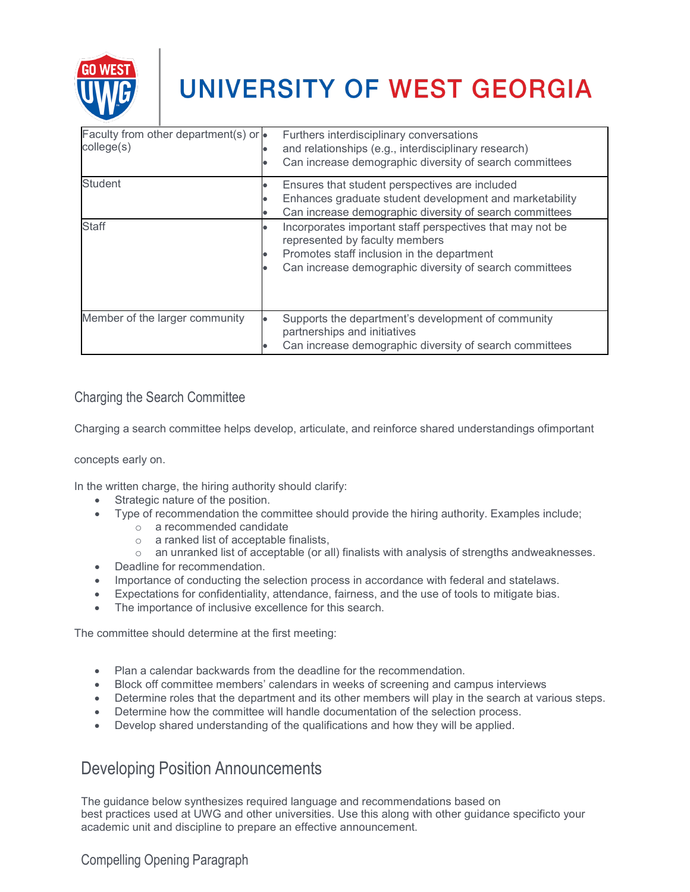

| Faculty from other department(s) or $\bullet$<br>college(s) | Furthers interdisciplinary conversations<br>and relationships (e.g., interdisciplinary research)<br>Can increase demographic diversity of search committees                                          |
|-------------------------------------------------------------|------------------------------------------------------------------------------------------------------------------------------------------------------------------------------------------------------|
| <b>Student</b>                                              | Ensures that student perspectives are included<br>Enhances graduate student development and marketability<br>Can increase demographic diversity of search committees                                 |
| <b>Staff</b>                                                | Incorporates important staff perspectives that may not be<br>represented by faculty members<br>Promotes staff inclusion in the department<br>Can increase demographic diversity of search committees |
| Member of the larger community                              | Supports the department's development of community<br>partnerships and initiatives<br>Can increase demographic diversity of search committees                                                        |

### <span id="page-3-0"></span>Charging the Search Committee

Charging a search committee helps develop, articulate, and reinforce shared understandings ofimportant

concepts early on.

In the written charge, the hiring authority should clarify:

- Strategic nature of the position.
	- Type of recommendation the committee should provide the hiring authority. Examples include;
		- o a recommended candidate
		- o a ranked list of acceptable finalists,
		- $\circ$  an unranked list of acceptable (or all) finalists with analysis of strengths andweaknesses.
- Deadline for recommendation.
- Importance of conducting the selection process in accordance with federal and statelaws.
- Expectations for confidentiality, attendance, fairness, and the use of tools to mitigate bias.
- The importance of inclusive excellence for this search.

The committee should determine at the first meeting:

- Plan a calendar backwards from the deadline for the recommendation.
- Block off committee members' calendars in weeks of screening and campus interviews
- Determine roles that the department and its other members will play in the search at various steps.
- Determine how the committee will handle documentation of the selection process.
- Develop shared understanding of the qualifications and how they will be applied.

### <span id="page-3-1"></span>Developing Position Announcements

The guidance below synthesizes required language and recommendations based on best practices used at UWG and other universities. Use this along with other guidance specificto your academic unit and discipline to prepare an effective announcement.

### <span id="page-3-2"></span>Compelling Opening Paragraph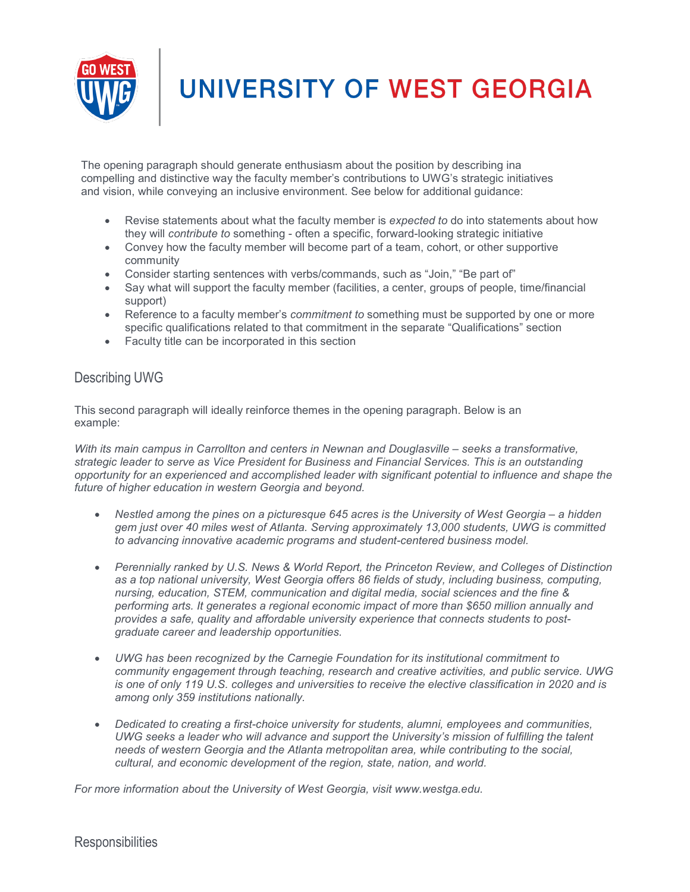

The opening paragraph should generate enthusiasm about the position by describing ina compelling and distinctive way the faculty member's contributions to UWG's strategic initiatives and vision, while conveying an inclusive environment. See below for additional guidance:

- Revise statements about what the faculty member is *expected to* do into statements about how they will *contribute to* something - often a specific, forward-looking strategic initiative
- Convey how the faculty member will become part of a team, cohort, or other supportive community
- Consider starting sentences with verbs/commands, such as "Join," "Be part of"
- Say what will support the faculty member (facilities, a center, groups of people, time/financial support)
- Reference to a faculty member's *commitment to* something must be supported by one or more specific qualifications related to that commitment in the separate "Qualifications" section
- Faculty title can be incorporated in this section

#### <span id="page-4-0"></span>Describing UWG

This second paragraph will ideally reinforce themes in the opening paragraph. Below is an example:

*With its main campus in Carrollton and centers in Newnan and Douglasville – seeks a transformative, strategic leader to serve as Vice President for Business and Financial Services. This is an outstanding opportunity for an experienced and accomplished leader with significant potential to influence and shape the future of higher education in western Georgia and beyond.*

- *Nestled among the pines on a picturesque 645 acres is the University of West Georgia – a hidden gem just over 40 miles west of Atlanta. Serving approximately 13,000 students, UWG is committed to advancing innovative academic programs and student-centered business model.*
- *Perennially ranked by U.S. News & World Report, the Princeton Review, and Colleges of Distinction as a top national university, West Georgia offers 86 fields of study, including business, computing, nursing, education, STEM, communication and digital media, social sciences and the fine & performing arts. It generates a regional economic impact of more than \$650 million annually and provides a safe, quality and affordable university experience that connects students to postgraduate career and leadership opportunities.*
- *UWG has been recognized by the Carnegie Foundation for its institutional commitment to community engagement through teaching, research and creative activities, and public service. UWG is one of only 119 U.S. colleges and universities to receive the elective classification in 2020 and is among only 359 institutions nationally.*
- *Dedicated to creating a first-choice university for students, alumni, employees and communities, UWG seeks a leader who will advance and support the University's mission of fulfilling the talent needs of western Georgia and the Atlanta metropolitan area, while contributing to the social, cultural, and economic development of the region, state, nation, and world.*

<span id="page-4-1"></span>*For more information about the University of West Georgia, visit www.westga.edu.*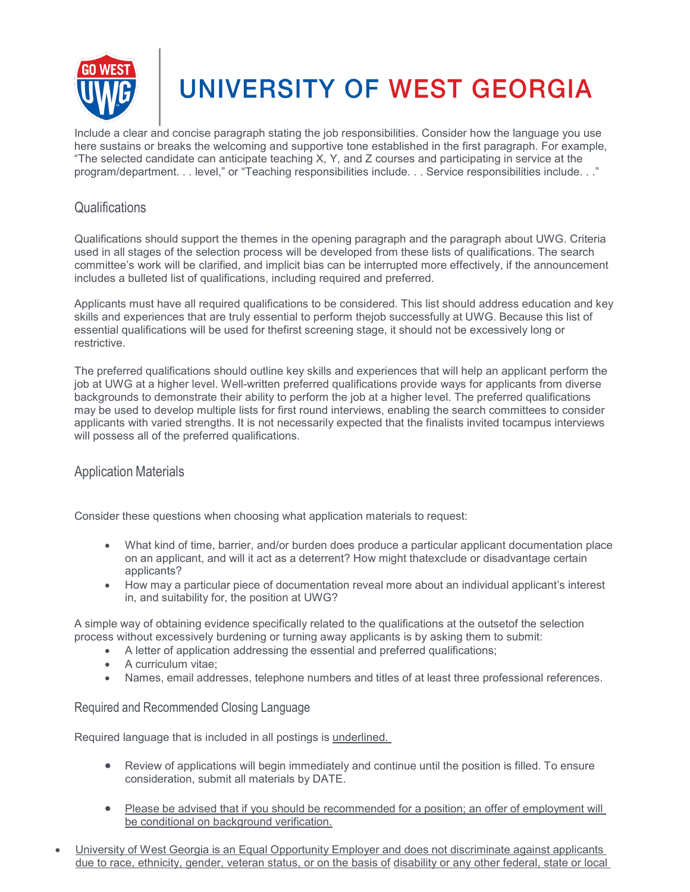

Include a clear and concise paragraph stating the job responsibilities. Consider how the language you use here sustains or breaks the welcoming and supportive tone established in the first paragraph. For example, "The selected candidate can anticipate teaching X, Y, and Z courses and participating in service at the program/department. . . level," or "Teaching responsibilities include. . . Service responsibilities include. . ."

#### <span id="page-5-0"></span>**Qualifications**

Qualifications should support the themes in the opening paragraph and the paragraph about UWG. Criteria used in all stages of the selection process will be developed from these lists of qualifications. The search committee's work will be clarified, and implicit bias can be interrupted more effectively, if the announcement includes a bulleted list of qualifications, including required and preferred.

Applicants must have all required qualifications to be considered. This list should address education and key skills and experiences that are truly essential to perform thejob successfully at UWG. Because this list of essential qualifications will be used for thefirst screening stage, it should not be excessively long or restrictive.

The preferred qualifications should outline key skills and experiences that will help an applicant perform the job at UWG at a higher level. Well-written preferred qualifications provide ways for applicants from diverse backgrounds to demonstrate their ability to perform the job at a higher level. The preferred qualifications may be used to develop multiple lists for first round interviews, enabling the search committees to consider applicants with varied strengths. It is not necessarily expected that the finalists invited tocampus interviews will possess all of the preferred qualifications.

#### <span id="page-5-1"></span>Application Materials

Consider these questions when choosing what application materials to request:

- What kind of time, barrier, and/or burden does produce a particular applicant documentation place on an applicant, and will it act as a deterrent? How might thatexclude or disadvantage certain applicants?
- How may a particular piece of documentation reveal more about an individual applicant's interest in, and suitability for, the position at UWG?

A simple way of obtaining evidence specifically related to the qualifications at the outsetof the selection process without excessively burdening or turning away applicants is by asking them to submit:

- A letter of application addressing the essential and preferred qualifications;
- A curriculum vitae;
- Names, email addresses, telephone numbers and titles of at least three professional references.

#### Required and Recommended Closing Language

Required language that is included in all postings is underlined.

- Review of applications will begin immediately and continue until the position is filled. To ensure consideration, submit all materials by DATE.
- Please be advised that if you should be recommended for a position; an offer of employment will be conditional on background verification.
- University of West Georgia is an Equal Opportunity Employer and does not discriminate against applicants due to race, ethnicity, gender, veteran status, or on the basis of disability or any other federal, state or local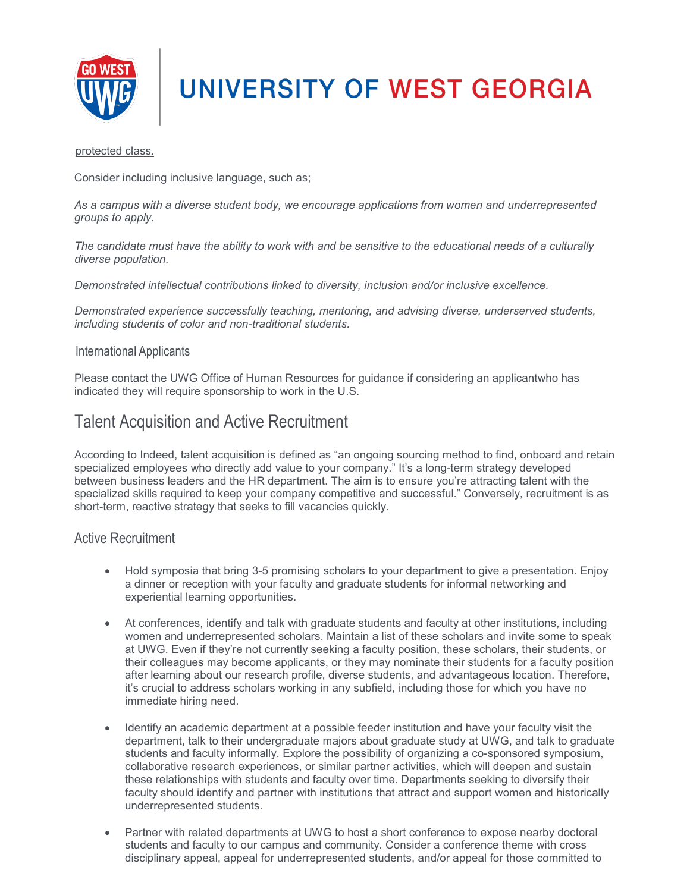

protected class.

Consider including inclusive language, such as;

*As a campus with a diverse student body, we encourage applications from women and underrepresented groups to apply.* 

*The candidate must have the ability to work with and be sensitive to the educational needs of a culturally diverse population.*

*Demonstrated intellectual contributions linked to diversity, inclusion and/or inclusive excellence.*

*Demonstrated experience successfully teaching, mentoring, and advising diverse, underserved students, including students of color and non-traditional students.*

#### International Applicants

Please contact the UWG Office of Human Resources for guidance if considering an applicantwho has indicated they will require sponsorship to work in the U.S.

### <span id="page-6-0"></span>Talent Acquisition and Active Recruitment

According to Indeed, talent acquisition is defined as "an ongoing sourcing method to find, onboard and retain specialized employees who directly add value to your company." It's a long-term strategy developed between business leaders and the HR department. The aim is to ensure you're attracting talent with the specialized skills required to keep your company competitive and successful." Conversely, recruitment is as short-term, reactive strategy that seeks to fill vacancies quickly.

#### <span id="page-6-1"></span>Active Recruitment

- Hold symposia that bring 3-5 promising scholars to your department to give a presentation. Enjoy a dinner or reception with your faculty and graduate students for informal networking and experiential learning opportunities.
- At conferences, identify and talk with graduate students and faculty at other institutions, including women and underrepresented scholars. Maintain a list of these scholars and invite some to speak at UWG. Even if they're not currently seeking a faculty position, these scholars, their students, or their colleagues may become applicants, or they may nominate their students for a faculty position after learning about our research profile, diverse students, and advantageous location. Therefore, it's crucial to address scholars working in any subfield, including those for which you have no immediate hiring need.
- Identify an academic department at a possible feeder institution and have your faculty visit the department, talk to their undergraduate majors about graduate study at UWG, and talk to graduate students and faculty informally. Explore the possibility of organizing a co-sponsored symposium, collaborative research experiences, or similar partner activities, which will deepen and sustain these relationships with students and faculty over time. Departments seeking to diversify their faculty should identify and partner with institutions that attract and support women and historically underrepresented students.
- Partner with related departments at UWG to host a short conference to expose nearby doctoral students and faculty to our campus and community. Consider a conference theme with cross disciplinary appeal, appeal for underrepresented students, and/or appeal for those committed to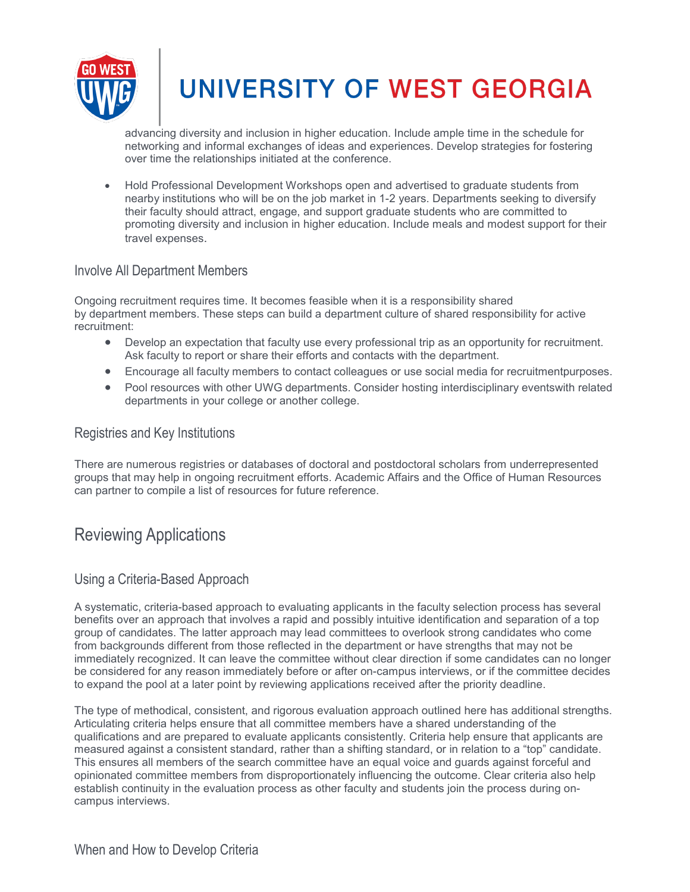

advancing diversity and inclusion in higher education. Include ample time in the schedule for networking and informal exchanges of ideas and experiences. Develop strategies for fostering over time the relationships initiated at the conference.

• Hold Professional Development Workshops open and advertised to graduate students from nearby institutions who will be on the job market in 1-2 years. Departments seeking to diversify their faculty should attract, engage, and support graduate students who are committed to promoting diversity and inclusion in higher education. Include meals and modest support for their travel expenses.

#### <span id="page-7-0"></span>Involve All Department Members

Ongoing recruitment requires time. It becomes feasible when it is a responsibility shared by department members. These steps can build a department culture of shared responsibility for active recruitment:

- Develop an expectation that faculty use every professional trip as an opportunity for recruitment. Ask faculty to report or share their efforts and contacts with the department.
- Encourage all faculty members to contact colleagues or use social media for recruitmentpurposes.
- Pool resources with other UWG departments. Consider hosting interdisciplinary eventswith related departments in your college or another college.

#### <span id="page-7-1"></span>Registries and Key Institutions

There are numerous registries or databases of doctoral and postdoctoral scholars from underrepresented groups that may help in ongoing recruitment efforts. Academic Affairs and the Office of Human Resources can partner to compile a list of resources for future reference.

### <span id="page-7-2"></span>Reviewing Applications

#### <span id="page-7-3"></span>Using a Criteria-Based Approach

A systematic, criteria-based approach to evaluating applicants in the faculty selection process has several benefits over an approach that involves a rapid and possibly intuitive identification and separation of a top group of candidates. The latter approach may lead committees to overlook strong candidates who come from backgrounds different from those reflected in the department or have strengths that may not be immediately recognized. It can leave the committee without clear direction if some candidates can no longer be considered for any reason immediately before or after on-campus interviews, or if the committee decides to expand the pool at a later point by reviewing applications received after the priority deadline.

<span id="page-7-4"></span>The type of methodical, consistent, and rigorous evaluation approach outlined here has additional strengths. Articulating criteria helps ensure that all committee members have a shared understanding of the qualifications and are prepared to evaluate applicants consistently. Criteria help ensure that applicants are measured against a consistent standard, rather than a shifting standard, or in relation to a "top" candidate. This ensures all members of the search committee have an equal voice and guards against forceful and opinionated committee members from disproportionately influencing the outcome. Clear criteria also help establish continuity in the evaluation process as other faculty and students join the process during oncampus interviews.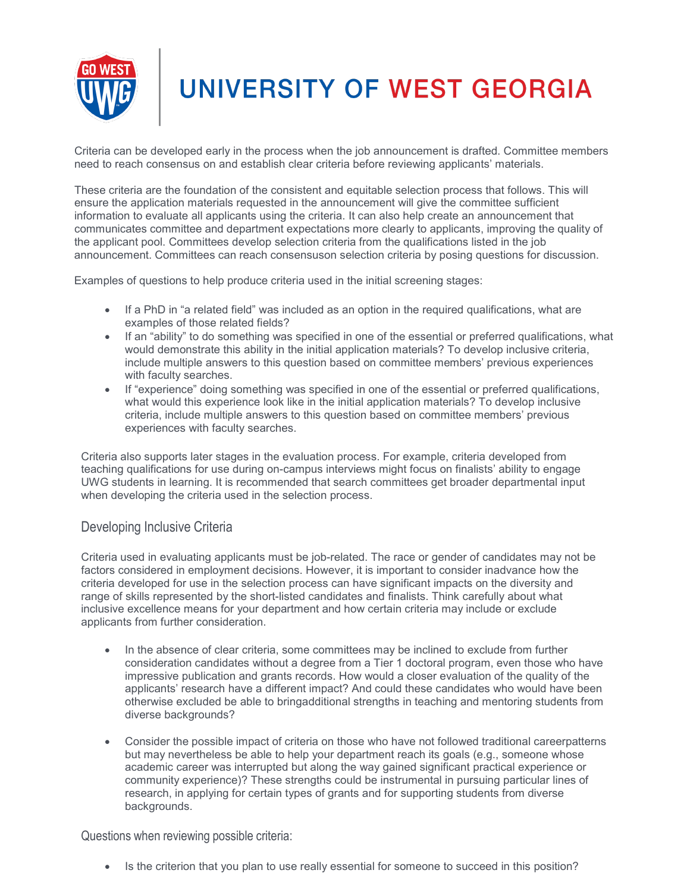

Criteria can be developed early in the process when the job announcement is drafted. Committee members need to reach consensus on and establish clear criteria before reviewing applicants' materials.

These criteria are the foundation of the consistent and equitable selection process that follows. This will ensure the application materials requested in the announcement will give the committee sufficient information to evaluate all applicants using the criteria. It can also help create an announcement that communicates committee and department expectations more clearly to applicants, improving the quality of the applicant pool. Committees develop selection criteria from the qualifications listed in the job announcement. Committees can reach consensuson selection criteria by posing questions for discussion.

Examples of questions to help produce criteria used in the initial screening stages:

- If a PhD in "a related field" was included as an option in the required qualifications, what are examples of those related fields?
- If an "ability" to do something was specified in one of the essential or preferred qualifications, what would demonstrate this ability in the initial application materials? To develop inclusive criteria, include multiple answers to this question based on committee members' previous experiences with faculty searches.
- If "experience" doing something was specified in one of the essential or preferred qualifications, what would this experience look like in the initial application materials? To develop inclusive criteria, include multiple answers to this question based on committee members' previous experiences with faculty searches.

Criteria also supports later stages in the evaluation process. For example, criteria developed from teaching qualifications for use during on-campus interviews might focus on finalists' ability to engage UWG students in learning. It is recommended that search committees get broader departmental input when developing the criteria used in the selection process.

#### <span id="page-8-0"></span>Developing Inclusive Criteria

Criteria used in evaluating applicants must be job-related. The race or gender of candidates may not be factors considered in employment decisions. However, it is important to consider inadvance how the criteria developed for use in the selection process can have significant impacts on the diversity and range of skills represented by the short-listed candidates and finalists. Think carefully about what inclusive excellence means for your department and how certain criteria may include or exclude applicants from further consideration.

- In the absence of clear criteria, some committees may be inclined to exclude from further consideration candidates without a degree from a Tier 1 doctoral program, even those who have impressive publication and grants records. How would a closer evaluation of the quality of the applicants' research have a different impact? And could these candidates who would have been otherwise excluded be able to bringadditional strengths in teaching and mentoring students from diverse backgrounds?
- Consider the possible impact of criteria on those who have not followed traditional careerpatterns but may nevertheless be able to help your department reach its goals (e.g., someone whose academic career was interrupted but along the way gained significant practical experience or community experience)? These strengths could be instrumental in pursuing particular lines of research, in applying for certain types of grants and for supporting students from diverse backgrounds.

Questions when reviewing possible criteria:

• Is the criterion that you plan to use really essential for someone to succeed in this position?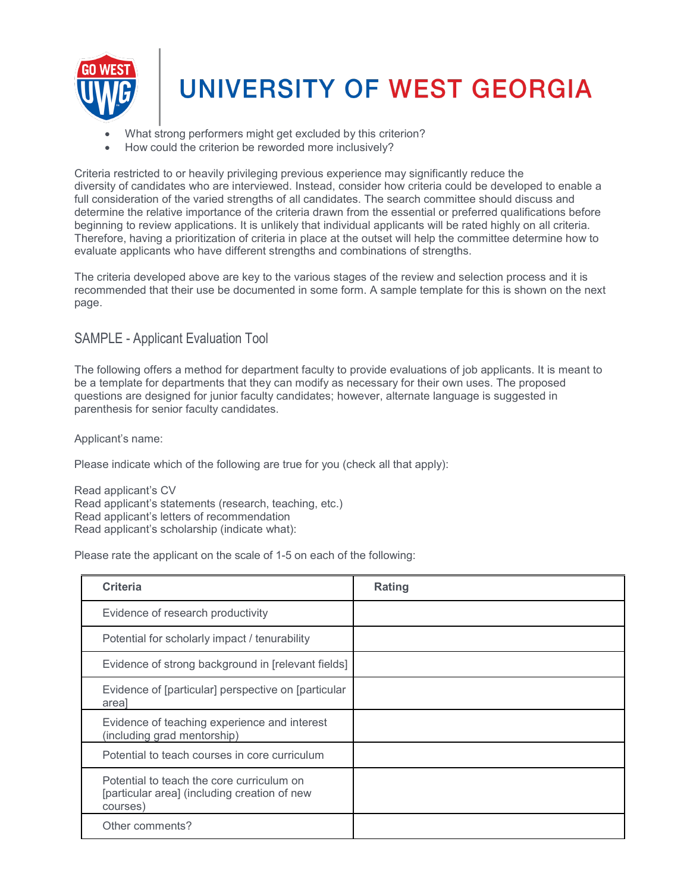

- What strong performers might get excluded by this criterion?
- How could the criterion be reworded more inclusively?

Criteria restricted to or heavily privileging previous experience may significantly reduce the diversity of candidates who are interviewed. Instead, consider how criteria could be developed to enable a full consideration of the varied strengths of all candidates. The search committee should discuss and determine the relative importance of the criteria drawn from the essential or preferred qualifications before beginning to review applications. It is unlikely that individual applicants will be rated highly on all criteria. Therefore, having a prioritization of criteria in place at the outset will help the committee determine how to evaluate applicants who have different strengths and combinations of strengths.

The criteria developed above are key to the various stages of the review and selection process and it is recommended that their use be documented in some form. A sample template for this is shown on the next page.

### <span id="page-9-0"></span>SAMPLE - Applicant Evaluation Tool

The following offers a method for department faculty to provide evaluations of job applicants. It is meant to be a template for departments that they can modify as necessary for their own uses. The proposed questions are designed for junior faculty candidates; however, alternate language is suggested in parenthesis for senior faculty candidates.

Applicant's name:

Please indicate which of the following are true for you (check all that apply):

Read applicant's CV Read applicant's statements (research, teaching, etc.) Read applicant's letters of recommendation Read applicant's scholarship (indicate what):

Please rate the applicant on the scale of 1-5 on each of the following:

| <b>Criteria</b>                                                                                       | Rating |
|-------------------------------------------------------------------------------------------------------|--------|
| Evidence of research productivity                                                                     |        |
| Potential for scholarly impact / tenurability                                                         |        |
| Evidence of strong background in [relevant fields]                                                    |        |
| Evidence of [particular] perspective on [particular<br>areal                                          |        |
| Evidence of teaching experience and interest<br>(including grad mentorship)                           |        |
| Potential to teach courses in core curriculum                                                         |        |
| Potential to teach the core curriculum on<br>[particular area] (including creation of new<br>courses) |        |
| Other comments?                                                                                       |        |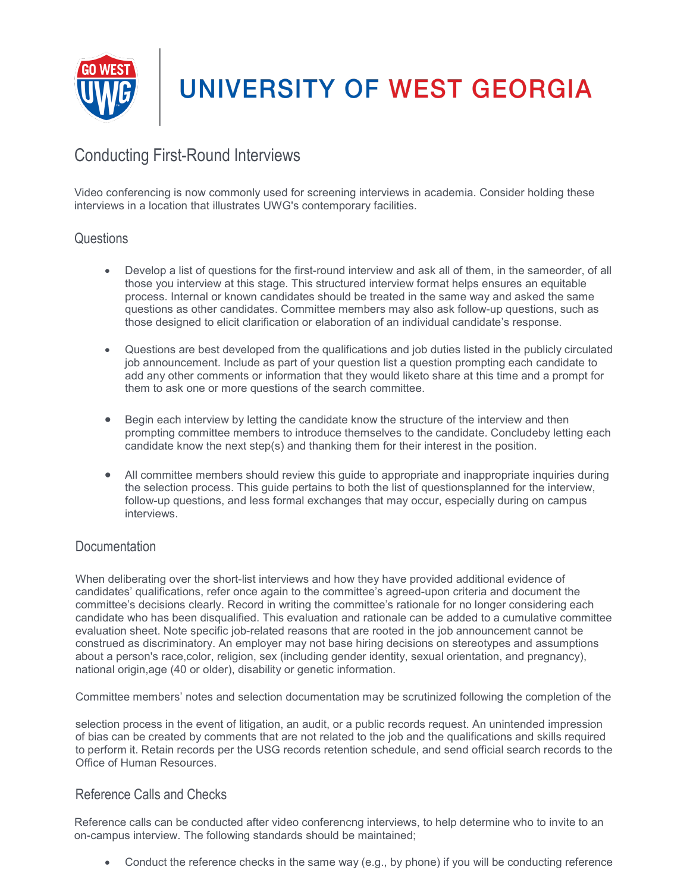

### <span id="page-10-0"></span>Conducting First-Round Interviews

Video conferencing is now commonly used for screening interviews in academia. Consider holding these interviews in a location that illustrates UWG's contemporary facilities.

#### <span id="page-10-1"></span>**Questions**

- Develop a list of questions for the first-round interview and ask all of them, in the sameorder, of all those you interview at this stage. This structured interview format helps ensures an equitable process. Internal or known candidates should be treated in the same way and asked the same questions as other candidates. Committee members may also ask follow-up questions, such as those designed to elicit clarification or elaboration of an individual candidate's response.
- Questions are best developed from the qualifications and job duties listed in the publicly circulated job announcement. Include as part of your question list a question prompting each candidate to add any other comments or information that they would liketo share at this time and a prompt for them to ask one or more questions of the search committee.
- Begin each interview by letting the candidate know the structure of the interview and then prompting committee members to introduce themselves to the candidate. Concludeby letting each candidate know the next step(s) and thanking them for their interest in the position.
- All committee members should review this guide to appropriate and inappropriate inquiries during the selection process. This guide pertains to both the list of questionsplanned for the interview, follow-up questions, and less formal exchanges that may occur, especially during on campus interviews.

#### <span id="page-10-2"></span>**Documentation**

When deliberating over the short-list interviews and how they have provided additional evidence of candidates' qualifications, refer once again to the committee's agreed-upon criteria and document the committee's decisions clearly. Record in writing the committee's rationale for no longer considering each candidate who has been disqualified. This evaluation and rationale can be added to a cumulative committee evaluation sheet. Note specific job-related reasons that are rooted in the job announcement cannot be construed as discriminatory. An employer may not base hiring decisions on stereotypes and assumptions about a person's race,color, religion, sex (including gender identity, sexual orientation, and pregnancy), national origin,age (40 or older), disability or genetic information.

Committee members' notes and selection documentation may be scrutinized following the completion of the

selection process in the event of litigation, an audit, or a public records request. An unintended impression of bias can be created by comments that are not related to the job and the qualifications and skills required to perform it. Retain records per the USG records retention schedule, and send official search records to the Office of Human Resources.

### <span id="page-10-3"></span>Reference Calls and Checks

Reference calls can be conducted after video conferencng interviews, to help determine who to invite to an on-campus interview. The following standards should be maintained;

• Conduct the reference checks in the same way (e.g., by phone) if you will be conducting reference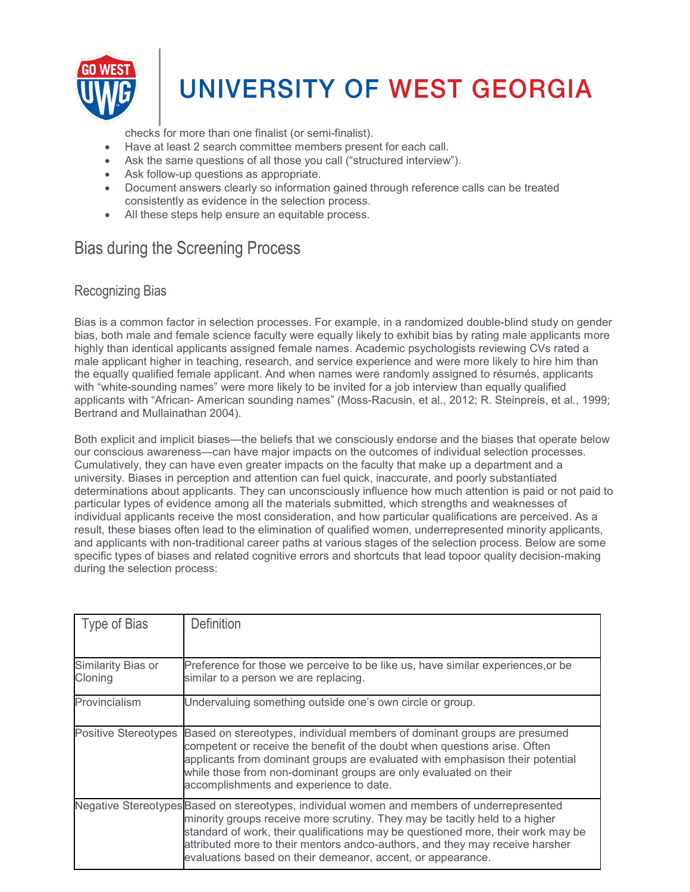

checks for more than one finalist (or semi-finalist).

- Have at least 2 search committee members present for each call.
- Ask the same questions of all those you call ("structured interview").
- Ask follow-up questions as appropriate.
- Document answers clearly so information gained through reference calls can be treated consistently as evidence in the selection process.
- All these steps help ensure an equitable process.

### <span id="page-11-0"></span>Bias during the Screening Process

#### <span id="page-11-1"></span>Recognizing Bias

Bias is a common factor in selection processes. For example, in a randomized double-blind study on gender bias, both male and female science faculty were equally likely to exhibit bias by rating male applicants more highly than identical applicants assigned female names. Academic psychologists reviewing CVs rated a male applicant higher in teaching, research, and service experience and were more likely to hire him than the equally qualified female applicant. And when names were randomly assigned to résumés, applicants with "white-sounding names" were more likely to be invited for a job interview than equally qualified applicants with "African- American sounding names" (Moss-Racusin, et al., 2012; R. Steinpreis, et al., 1999; Bertrand and Mullainathan 2004).

Both explicit and implicit biases—the beliefs that we consciously endorse and the biases that operate below our conscious awareness—can have major impacts on the outcomes of individual selection processes. Cumulatively, they can have even greater impacts on the faculty that make up a department and a university. Biases in perception and attention can fuel quick, inaccurate, and poorly substantiated determinations about applicants. They can unconsciously influence how much attention is paid or not paid to particular types of evidence among all the materials submitted, which strengths and weaknesses of individual applicants receive the most consideration, and how particular qualifications are perceived. As a result, these biases often lead to the elimination of qualified women, underrepresented minority applicants, and applicants with non-traditional career paths at various stages of the selection process. Below are some specific types of biases and related cognitive errors and shortcuts that lead topoor quality decision-making during the selection process:

<span id="page-11-3"></span><span id="page-11-2"></span>

| Type of Bias                  | <b>Definition</b>                                                                                                                                                                                                                                                                                                                                                                                             |
|-------------------------------|---------------------------------------------------------------------------------------------------------------------------------------------------------------------------------------------------------------------------------------------------------------------------------------------------------------------------------------------------------------------------------------------------------------|
| Similarity Bias or<br>Cloning | Preference for those we perceive to be like us, have similar experiences, or be<br>similar to a person we are replacing.                                                                                                                                                                                                                                                                                      |
| Provincialism                 | Undervaluing something outside one's own circle or group.                                                                                                                                                                                                                                                                                                                                                     |
| <b>Positive Stereotypes</b>   | Based on stereotypes, individual members of dominant groups are presumed<br>competent or receive the benefit of the doubt when questions arise. Often<br>applicants from dominant groups are evaluated with emphasison their potential<br>while those from non-dominant groups are only evaluated on their<br>accomplishments and experience to date.                                                         |
|                               | Negative Stereotypes Based on stereotypes, individual women and members of underrepresented<br>minority groups receive more scrutiny. They may be tacitly held to a higher<br>standard of work, their qualifications may be questioned more, their work may be<br>attributed more to their mentors andco-authors, and they may receive harsher<br>evaluations based on their demeanor, accent, or appearance. |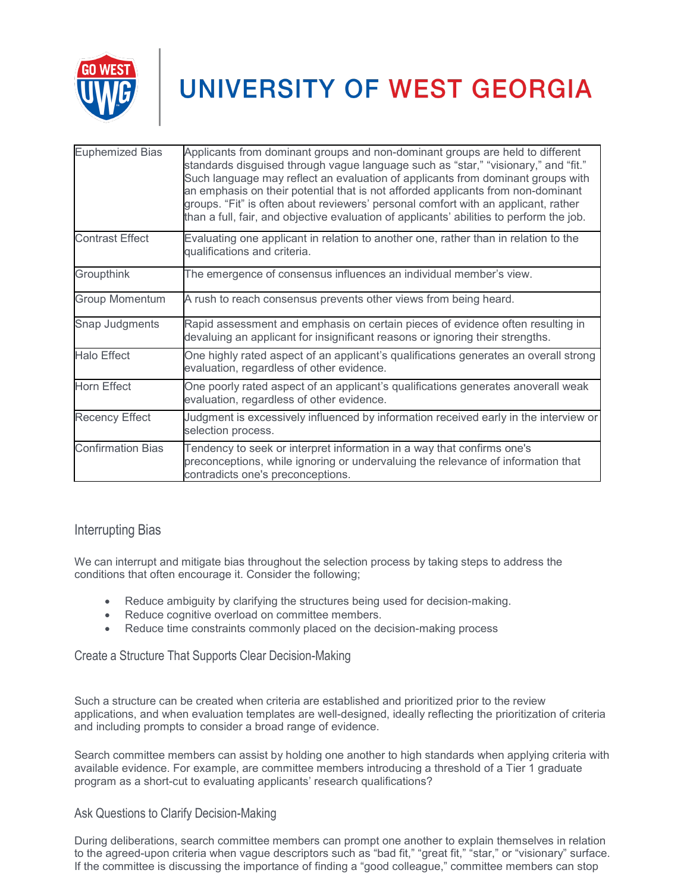

| <b>Euphemized Bias</b>   | Applicants from dominant groups and non-dominant groups are held to different<br>standards disguised through vague language such as "star," "visionary," and "fit."<br>Such language may reflect an evaluation of applicants from dominant groups with<br>an emphasis on their potential that is not afforded applicants from non-dominant<br>groups. "Fit" is often about reviewers' personal comfort with an applicant, rather<br>than a full, fair, and objective evaluation of applicants' abilities to perform the job. |
|--------------------------|------------------------------------------------------------------------------------------------------------------------------------------------------------------------------------------------------------------------------------------------------------------------------------------------------------------------------------------------------------------------------------------------------------------------------------------------------------------------------------------------------------------------------|
| <b>Contrast Effect</b>   | Evaluating one applicant in relation to another one, rather than in relation to the<br>qualifications and criteria.                                                                                                                                                                                                                                                                                                                                                                                                          |
| Groupthink               | The emergence of consensus influences an individual member's view.                                                                                                                                                                                                                                                                                                                                                                                                                                                           |
| <b>Group Momentum</b>    | A rush to reach consensus prevents other views from being heard.                                                                                                                                                                                                                                                                                                                                                                                                                                                             |
| Snap Judgments           | Rapid assessment and emphasis on certain pieces of evidence often resulting in<br>devaluing an applicant for insignificant reasons or ignoring their strengths.                                                                                                                                                                                                                                                                                                                                                              |
| <b>Halo Effect</b>       | One highly rated aspect of an applicant's qualifications generates an overall strong<br>evaluation, regardless of other evidence.                                                                                                                                                                                                                                                                                                                                                                                            |
| <b>Horn Effect</b>       | One poorly rated aspect of an applicant's qualifications generates anoverall weak<br>evaluation, regardless of other evidence.                                                                                                                                                                                                                                                                                                                                                                                               |
| <b>Recency Effect</b>    | Judgment is excessively influenced by information received early in the interview or<br>selection process.                                                                                                                                                                                                                                                                                                                                                                                                                   |
| <b>Confirmation Bias</b> | Tendency to seek or interpret information in a way that confirms one's<br>preconceptions, while ignoring or undervaluing the relevance of information that<br>contradicts one's preconceptions.                                                                                                                                                                                                                                                                                                                              |

#### <span id="page-12-0"></span>Interrupting Bias

We can interrupt and mitigate bias throughout the selection process by taking steps to address the conditions that often encourage it. Consider the following;

- Reduce ambiguity by clarifying the structures being used for decision-making.
- Reduce cognitive overload on committee members.
- Reduce time constraints commonly placed on the decision-making process

Create a Structure That Supports Clear Decision-Making

Such a structure can be created when criteria are established and prioritized prior to the review applications, and when evaluation templates are well-designed, ideally reflecting the prioritization of criteria and including prompts to consider a broad range of evidence.

Search committee members can assist by holding one another to high standards when applying criteria with available evidence. For example, are committee members introducing a threshold of a Tier 1 graduate program as a short-cut to evaluating applicants' research qualifications?

#### Ask Questions to Clarify Decision-Making

During deliberations, search committee members can prompt one another to explain themselves in relation to the agreed-upon criteria when vague descriptors such as "bad fit," "great fit," "star," or "visionary" surface. If the committee is discussing the importance of finding a "good colleague," committee members can stop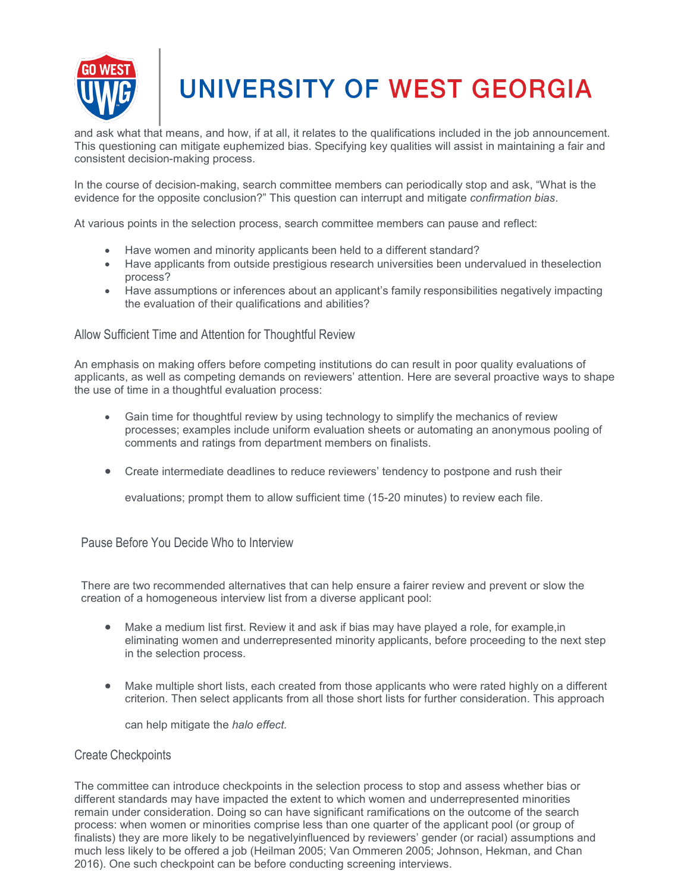

and ask what that means, and how, if at all, it relates to the qualifications included in the job announcement. This questioning can mitigate euphemized bias. Specifying key qualities will assist in maintaining a fair and consistent decision-making process.

In the course of decision-making, search committee members can periodically stop and ask, "What is the evidence for the opposite conclusion?" This question can interrupt and mitigate *confirmation bias*.

At various points in the selection process, search committee members can pause and reflect:

- Have women and minority applicants been held to a different standard?
- Have applicants from outside prestigious research universities been undervalued in theselection process?
- Have assumptions or inferences about an applicant's family responsibilities negatively impacting the evaluation of their qualifications and abilities?

#### Allow Sufficient Time and Attention for Thoughtful Review

An emphasis on making offers before competing institutions do can result in poor quality evaluations of applicants, as well as competing demands on reviewers' attention. Here are several proactive ways to shape the use of time in a thoughtful evaluation process:

- Gain time for thoughtful review by using technology to simplify the mechanics of review processes; examples include uniform evaluation sheets or automating an anonymous pooling of comments and ratings from department members on finalists.
- Create intermediate deadlines to reduce reviewers' tendency to postpone and rush their

evaluations; prompt them to allow sufficient time (15-20 minutes) to review each file.

#### Pause Before You Decide Who to Interview

There are two recommended alternatives that can help ensure a fairer review and prevent or slow the creation of a homogeneous interview list from a diverse applicant pool:

- Make a medium list first. Review it and ask if bias may have played a role, for example, in eliminating women and underrepresented minority applicants, before proceeding to the next step in the selection process.
- Make multiple short lists, each created from those applicants who were rated highly on a different criterion. Then select applicants from all those short lists for further consideration. This approach

can help mitigate the *halo effect.*

#### Create Checkpoints

The committee can introduce checkpoints in the selection process to stop and assess whether bias or different standards may have impacted the extent to which women and underrepresented minorities remain under consideration. Doing so can have significant ramifications on the outcome of the search process: when women or minorities comprise less than one quarter of the applicant pool (or group of finalists) they are more likely to be negativelyinfluenced by reviewers' gender (or racial) assumptions and much less likely to be offered a job (Heilman 2005; Van Ommeren 2005; Johnson, Hekman, and Chan 2016). One such checkpoint can be before conducting screening interviews.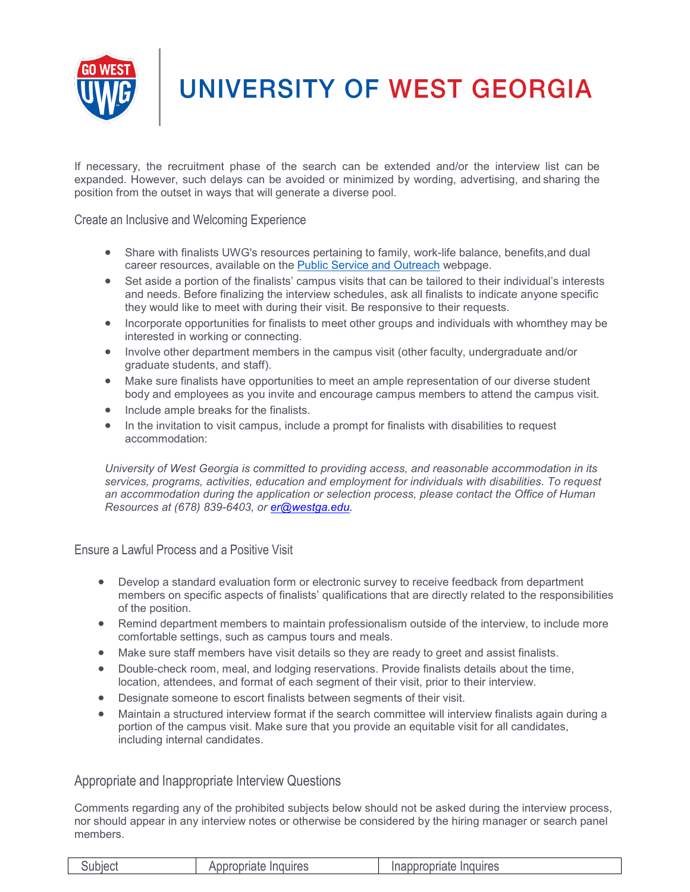

If necessary, the recruitment phase of the search can be extended and/or the interview list can be expanded. However, such delays can be avoided or minimized by wording, advertising, and sharing the position from the outset in ways that will generate a diverse pool.

Create an Inclusive and Welcoming Experience

- Share with finalists UWG's resources pertaining to family, work-life balance, benefits,and dual career resources, available on the Public Service and [Outreach](https://www.westga.edu/community/index.php) webpage.
- Set aside a portion of the finalists' campus visits that can be tailored to their individual's interests and needs. Before finalizing the interview schedules, ask all finalists to indicate anyone specific they would like to meet with during their visit. Be responsive to their requests.
- Incorporate opportunities for finalists to meet other groups and individuals with whomthey may be interested in working or connecting.
- Involve other department members in the campus visit (other faculty, undergraduate and/or graduate students, and staff).
- Make sure finalists have opportunities to meet an ample representation of our diverse student body and employees as you invite and encourage campus members to attend the campus visit.
- Include ample breaks for the finalists.
- In the invitation to visit campus, include a prompt for finalists with disabilities to request accommodation:

*University of West Georgia is committed to providing access, and reasonable accommodation in its services, programs, activities, education and employment for individuals with disabilities. To request an accommodation during the application or selection process, please contact the Office of Human Resources at (678) 839-6403, or [er@westga.edu.](mailto:er@westga.edu)*

Ensure a Lawful Process and a Positive Visit

- Develop a standard evaluation form or electronic survey to receive feedback from department members on specific aspects of finalists' qualifications that are directly related to the responsibilities of the position.
- Remind department members to maintain professionalism outside of the interview, to include more comfortable settings, such as campus tours and meals.
- Make sure staff members have visit details so they are ready to greet and assist finalists.
- Double-check room, meal, and lodging reservations. Provide finalists details about the time, location, attendees, and format of each segment of their visit, prior to their interview.
- Designate someone to escort finalists between segments of their visit.
- Maintain a structured interview format if the search committee will interview finalists again during a portion of the campus visit. Make sure that you provide an equitable visit for all candidates, including internal candidates.

#### <span id="page-14-0"></span>Appropriate and Inappropriate Interview Questions

Comments regarding any of the prohibited subjects below should not be asked during the interview process, nor should appear in any interview notes or otherwise be considered by the hiring manager or search panel members.

| Subject | Appropriate Inquires | Inappropriate Inquires |
|---------|----------------------|------------------------|
|---------|----------------------|------------------------|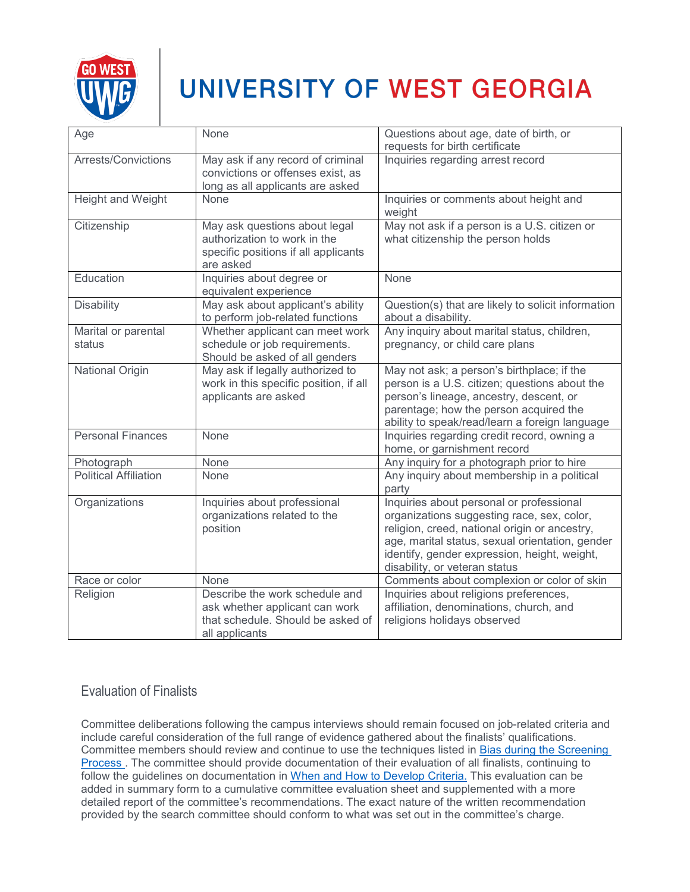

| Age                           | None                                                                                                                    | Questions about age, date of birth, or<br>requests for birth certificate                                                                                                                                                                                                    |
|-------------------------------|-------------------------------------------------------------------------------------------------------------------------|-----------------------------------------------------------------------------------------------------------------------------------------------------------------------------------------------------------------------------------------------------------------------------|
| Arrests/Convictions           | May ask if any record of criminal<br>convictions or offenses exist, as<br>long as all applicants are asked              | Inquiries regarding arrest record                                                                                                                                                                                                                                           |
| Height and Weight             | None                                                                                                                    | Inquiries or comments about height and<br>weight                                                                                                                                                                                                                            |
| Citizenship                   | May ask questions about legal<br>authorization to work in the<br>specific positions if all applicants<br>are asked      | May not ask if a person is a U.S. citizen or<br>what citizenship the person holds                                                                                                                                                                                           |
| Education                     | Inquiries about degree or<br>equivalent experience                                                                      | None                                                                                                                                                                                                                                                                        |
| <b>Disability</b>             | May ask about applicant's ability<br>to perform job-related functions                                                   | Question(s) that are likely to solicit information<br>about a disability.                                                                                                                                                                                                   |
| Marital or parental<br>status | Whether applicant can meet work<br>schedule or job requirements.<br>Should be asked of all genders                      | Any inquiry about marital status, children,<br>pregnancy, or child care plans                                                                                                                                                                                               |
| National Origin               | May ask if legally authorized to<br>work in this specific position, if all<br>applicants are asked                      | May not ask; a person's birthplace; if the<br>person is a U.S. citizen; questions about the<br>person's lineage, ancestry, descent, or<br>parentage; how the person acquired the<br>ability to speak/read/learn a foreign language                                          |
| <b>Personal Finances</b>      | None                                                                                                                    | Inquiries regarding credit record, owning a<br>home, or garnishment record                                                                                                                                                                                                  |
| Photograph                    | None                                                                                                                    | Any inquiry for a photograph prior to hire                                                                                                                                                                                                                                  |
| <b>Political Affiliation</b>  | None                                                                                                                    | Any inquiry about membership in a political<br>party                                                                                                                                                                                                                        |
| Organizations                 | Inquiries about professional<br>organizations related to the<br>position                                                | Inquiries about personal or professional<br>organizations suggesting race, sex, color,<br>religion, creed, national origin or ancestry,<br>age, marital status, sexual orientation, gender<br>identify, gender expression, height, weight,<br>disability, or veteran status |
| Race or color                 | None                                                                                                                    | Comments about complexion or color of skin                                                                                                                                                                                                                                  |
| Religion                      | Describe the work schedule and<br>ask whether applicant can work<br>that schedule. Should be asked of<br>all applicants | Inquiries about religions preferences,<br>affiliation, denominations, church, and<br>religions holidays observed                                                                                                                                                            |

### <span id="page-15-0"></span>Evaluation of Finalists

Committee deliberations following the campus interviews should remain focused on job-related criteria and include careful consideration of the full range of evidence gathered about the finalists' qualifications. Committee members should review and continue to use the techniques listed in Bias during the Screening Process . The committee should provide documentation of their evaluation of all finalists, continuing to follow the guidelines on documentation in When and How to Develop Criteria. This evaluation can be added in summary form to a cumulative committee evaluation sheet and supplemented with a more detailed report of the committee's recommendations. The exact nature of the written recommendation provided by the search committee should conform to what was set out in the committee's charge.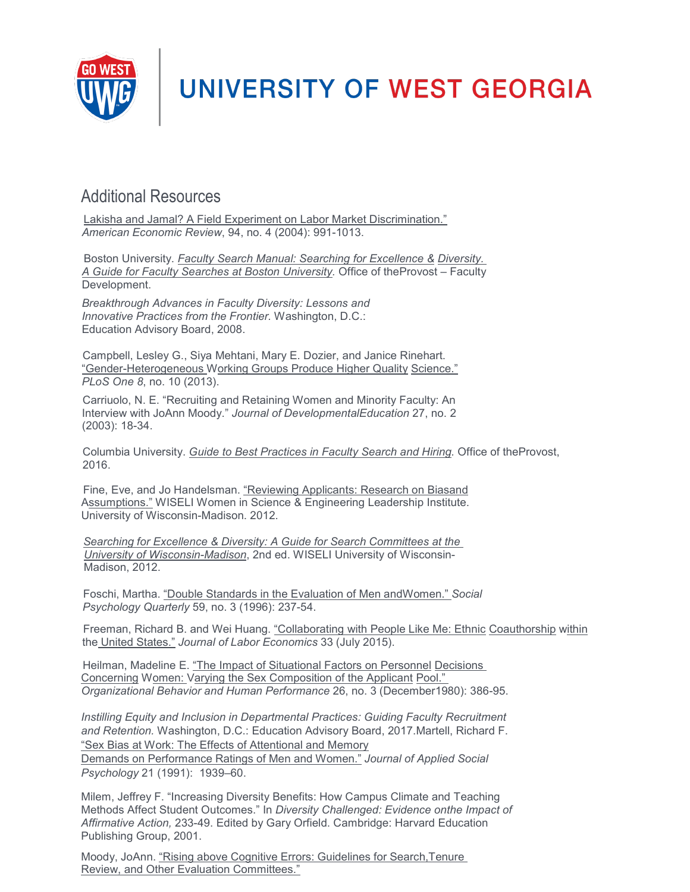

### <span id="page-16-0"></span>Additional Resources

Lakisha and Jamal? A Field Experiment on Labor Market Discrimination." *American Economic Review*, 94, no. 4 (2004): 991-1013.

Boston University. *Faculty Search Manual: Searching for Excellence & Diversity. A Guide for Faculty Searches at Boston University.* Office of theProvost – Faculty Development.

*Breakthrough Advances in Faculty Diversity: Lessons and Innovative Practices from the Frontier.* Washington, D.C.: Education Advisory Board, 2008.

Campbell, Lesley G., Siya Mehtani, Mary E. Dozier, and Janice Rinehart. "Gender-Heterogeneous Working Groups Produce Higher Quality Science." *PLoS One 8*, no. 10 (2013).

Carriuolo, N. E. "Recruiting and Retaining Women and Minority Faculty: An Interview with JoAnn Moody." *Journal of DevelopmentalEducation* 27, no. 2 (2003): 18-34.

Columbia University. *Guide to Best Practices in Faculty Search and Hiring.* Office of theProvost, 2016.

Fine, Eve, and Jo Handelsman. "Reviewing Applicants: Research on Biasand Assumptions." WISELI Women in Science & Engineering Leadership Institute. University of Wisconsin-Madison. 2012.

*Searching for Excellence & Diversity: A Guide for Search Committees at the University of Wisconsin-Madison*, 2nd ed. WISELI University of Wisconsin-Madison, 2012.

Foschi, Martha. "Double Standards in the Evaluation of Men andWomen." *Social Psychology Quarterly* 59, no. 3 (1996): 237-54.

Freeman, Richard B. and Wei Huang. "Collaborating with People Like Me: Ethnic Coauthorship within the United States." *Journal of Labor Economics* 33 (July 2015).

Heilman, Madeline E. "The Impact of Situational Factors on Personnel Decisions Concerning Women: Varying the Sex Composition of the Applicant Pool." *Organizational Behavior and Human Performance* 26, no. 3 (December1980): 386-95.

*Instilling Equity and Inclusion in Departmental Practices: Guiding Faculty Recruitment and Retention.* Washington, D.C.: Education Advisory Board, 2017.Martell, Richard F. "Sex Bias at Work: The Effects of Attentional and Memory

Demands on Performance Ratings of Men and Women." *Journal of Applied Social Psychology* 21 (1991): 1939–60.

Milem, Jeffrey F. "Increasing Diversity Benefits: How Campus Climate and Teaching Methods Affect Student Outcomes." In *Diversity Challenged: Evidence onthe Impact of Affirmative Action,* 233-49. Edited by Gary Orfield. Cambridge: Harvard Education Publishing Group, 2001.

Moody, JoAnn. "Rising above Cognitive Errors: Guidelines for Search,Tenure Review, and Other Evaluation Committees."